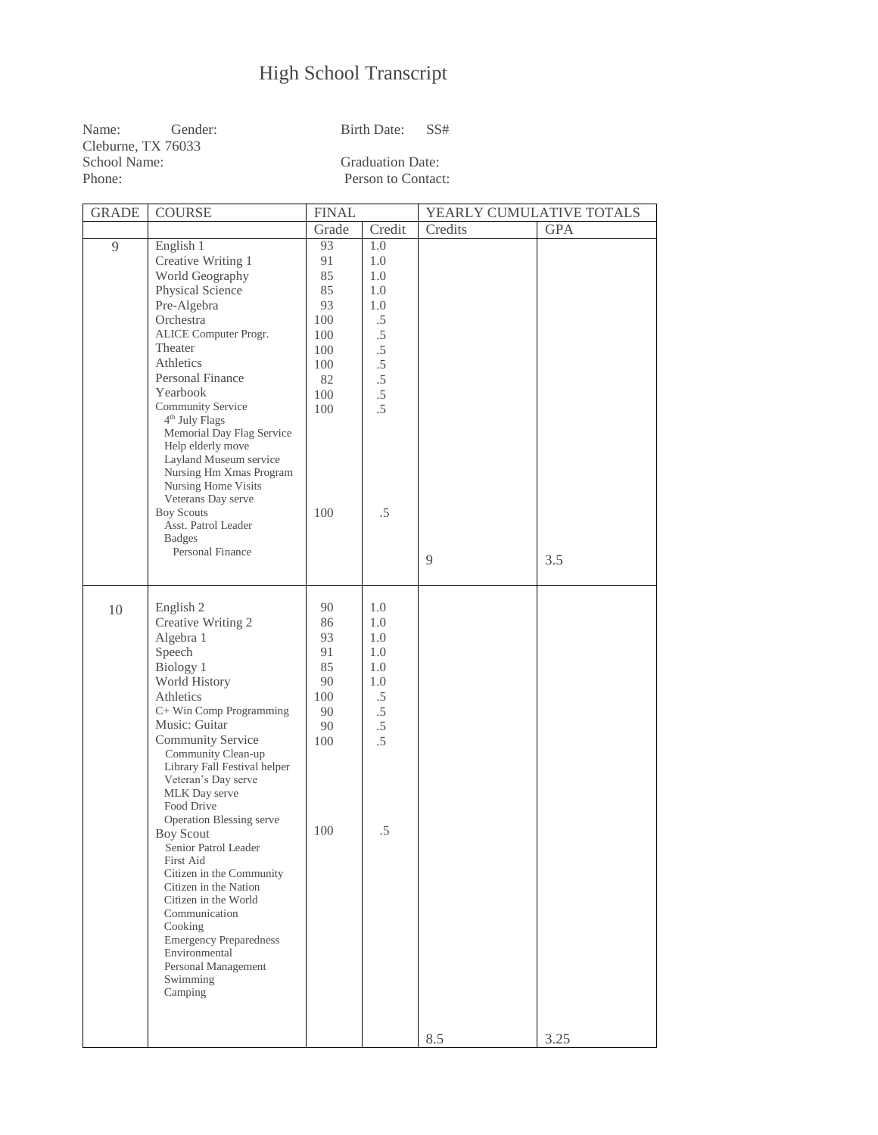## High School Transcript

| Name:              | Gender: | Birth Date:             | - SS# |  |  |
|--------------------|---------|-------------------------|-------|--|--|
| Cleburne. TX 76033 |         |                         |       |  |  |
| School Name:       |         | <b>Graduation Date:</b> |       |  |  |
| Phone:             |         | Person to Contact:      |       |  |  |

| <b>GRADE</b> | <b>COURSE</b>                                      | <b>FINAL</b> |        | YEARLY CUMULATIVE TOTALS |            |
|--------------|----------------------------------------------------|--------------|--------|--------------------------|------------|
|              |                                                    | Grade        | Credit | Credits                  | <b>GPA</b> |
| 9            | English 1                                          | 93           | 1.0    |                          |            |
|              | Creative Writing 1                                 | 91           | 1.0    |                          |            |
|              | World Geography                                    | 85           | 1.0    |                          |            |
|              | Physical Science                                   | 85           | 1.0    |                          |            |
|              | Pre-Algebra                                        | 93           | 1.0    |                          |            |
|              | Orchestra                                          | 100          | .5     |                          |            |
|              | ALICE Computer Progr.                              | 100          | $.5\,$ |                          |            |
|              | Theater                                            | 100          | $.5\,$ |                          |            |
|              | Athletics                                          | 100          | $.5\,$ |                          |            |
|              | <b>Personal Finance</b><br>Yearbook                | 82           | $.5\,$ |                          |            |
|              | Community Service                                  | 100          | $.5\,$ |                          |            |
|              | 4 <sup>th</sup> July Flags                         | 100          | $.5\,$ |                          |            |
|              | Memorial Day Flag Service                          |              |        |                          |            |
|              | Help elderly move                                  |              |        |                          |            |
|              | Layland Museum service                             |              |        |                          |            |
|              | Nursing Hm Xmas Program                            |              |        |                          |            |
|              | Nursing Home Visits<br>Veterans Day serve          |              |        |                          |            |
|              | <b>Boy Scouts</b>                                  | 100          | $.5\,$ |                          |            |
|              | Asst. Patrol Leader                                |              |        |                          |            |
|              | <b>Badges</b>                                      |              |        |                          |            |
|              | Personal Finance                                   |              |        | 9                        | 3.5        |
|              |                                                    |              |        |                          |            |
|              |                                                    |              |        |                          |            |
| 10           | English 2                                          | 90           | 1.0    |                          |            |
|              | Creative Writing 2                                 | 86           | 1.0    |                          |            |
|              | Algebra 1                                          | 93           | 1.0    |                          |            |
|              | Speech                                             | 91           | 1.0    |                          |            |
|              | Biology 1                                          | 85           | 1.0    |                          |            |
|              | World History                                      | 90           | 1.0    |                          |            |
|              | Athletics                                          | 100          | .5     |                          |            |
|              | C+ Win Comp Programming                            | 90           | $.5\,$ |                          |            |
|              | Music: Guitar                                      | 90           | $.5\,$ |                          |            |
|              | Community Service                                  | 100          | $.5\,$ |                          |            |
|              | Community Clean-up<br>Library Fall Festival helper |              |        |                          |            |
|              | Veteran's Day serve                                |              |        |                          |            |
|              | MLK Day serve                                      |              |        |                          |            |
|              | Food Drive                                         |              |        |                          |            |
|              | Operation Blessing serve                           | 100          | .5     |                          |            |
|              | <b>Boy Scout</b>                                   |              |        |                          |            |
|              | Senior Patrol Leader<br>First Aid                  |              |        |                          |            |
|              | Citizen in the Community                           |              |        |                          |            |
|              | Citizen in the Nation                              |              |        |                          |            |
|              | Citizen in the World                               |              |        |                          |            |
|              | Communication                                      |              |        |                          |            |
|              | Cooking<br><b>Emergency Preparedness</b>           |              |        |                          |            |
|              | Environmental                                      |              |        |                          |            |
|              | Personal Management                                |              |        |                          |            |
|              | Swimming                                           |              |        |                          |            |
|              | Camping                                            |              |        |                          |            |
|              |                                                    |              |        |                          |            |
|              |                                                    |              |        |                          |            |
|              |                                                    |              |        | 8.5                      | 3.25       |